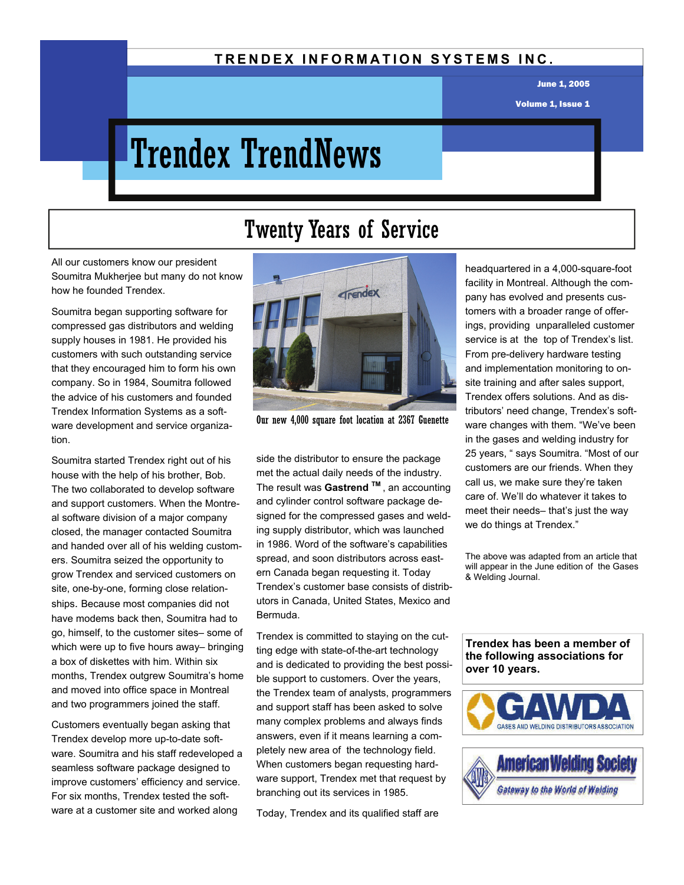#### **TRENDEX INFORMATION SYSTEMS INC.**

June 1, 2005

Volume 1, Issue 1

# Trendex TrendNews

## Twenty Years of Service

All our customers know our president Soumitra Mukherjee but many do not know how he founded Trendex.

Soumitra began supporting software for compressed gas distributors and welding supply houses in 1981. He provided his customers with such outstanding service that they encouraged him to form his own company. So in 1984, Soumitra followed the advice of his customers and founded Trendex Information Systems as a software development and service organization.

Soumitra started Trendex right out of his house with the help of his brother, Bob. The two collaborated to develop software and support customers. When the Montreal software division of a major company closed, the manager contacted Soumitra and handed over all of his welding customers. Soumitra seized the opportunity to grow Trendex and serviced customers on site, one-by-one, forming close relationships. Because most companies did not have modems back then, Soumitra had to go, himself, to the customer sites– some of which were up to five hours away– bringing a box of diskettes with him. Within six months, Trendex outgrew Soumitra's home and moved into office space in Montreal and two programmers joined the staff.

Customers eventually began asking that Trendex develop more up-to-date software. Soumitra and his staff redeveloped a seamless software package designed to improve customers' efficiency and service. For six months, Trendex tested the software at a customer site and worked along



Our new 4,000 square foot location at 2367 Guenette

side the distributor to ensure the package met the actual daily needs of the industry. The result was **Gastrend TM** , an accounting and cylinder control software package designed for the compressed gases and welding supply distributor, which was launched in 1986. Word of the software's capabilities spread, and soon distributors across eastern Canada began requesting it. Today Trendex's customer base consists of distributors in Canada, United States, Mexico and Bermuda.

Trendex is committed to staying on the cutting edge with state-of-the-art technology and is dedicated to providing the best possible support to customers. Over the years, the Trendex team of analysts, programmers and support staff has been asked to solve many complex problems and always finds answers, even if it means learning a completely new area of the technology field. When customers began requesting hardware support, Trendex met that request by branching out its services in 1985.

Today, Trendex and its qualified staff are

headquartered in a 4,000-square-foot facility in Montreal. Although the company has evolved and presents customers with a broader range of offerings, providing unparalleled customer service is at the top of Trendex's list. From pre-delivery hardware testing and implementation monitoring to onsite training and after sales support, Trendex offers solutions. And as distributors' need change, Trendex's software changes with them. "We've been in the gases and welding industry for 25 years, " says Soumitra. "Most of our customers are our friends. When they call us, we make sure they're taken care of. We'll do whatever it takes to meet their needs– that's just the way we do things at Trendex."

The above was adapted from an article that will appear in the June edition of the Gases & Welding Journal.

**Trendex has been a member of the following associations for over 10 years.** 



Gateway to the World of Welding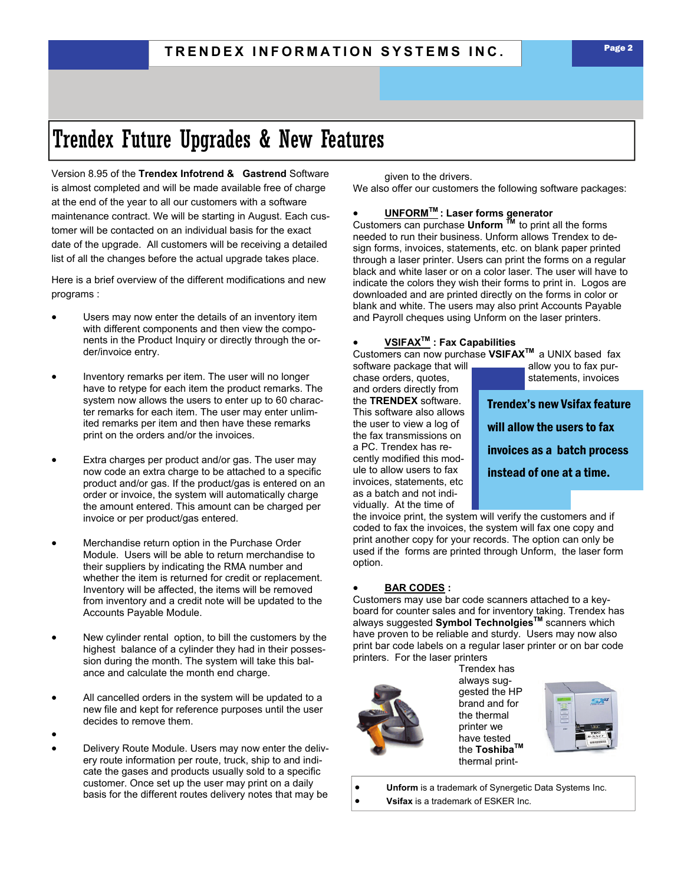## Trendex Future Upgrades & New Features

Version 8.95 of the **Trendex Infotrend & Gastrend** Software is almost completed and will be made available free of charge at the end of the year to all our customers with a software maintenance contract. We will be starting in August. Each customer will be contacted on an individual basis for the exact date of the upgrade. All customers will be receiving a detailed list of all the changes before the actual upgrade takes place.

Here is a brief overview of the different modifications and new programs :

- Users may now enter the details of an inventory item with different components and then view the components in the Product Inquiry or directly through the order/invoice entry.
- Inventory remarks per item. The user will no longer have to retype for each item the product remarks. The system now allows the users to enter up to 60 character remarks for each item. The user may enter unlimited remarks per item and then have these remarks print on the orders and/or the invoices.
- Extra charges per product and/or gas. The user may now code an extra charge to be attached to a specific product and/or gas. If the product/gas is entered on an order or invoice, the system will automatically charge the amount entered. This amount can be charged per invoice or per product/gas entered.
- Merchandise return option in the Purchase Order Module. Users will be able to return merchandise to their suppliers by indicating the RMA number and whether the item is returned for credit or replacement. Inventory will be affected, the items will be removed from inventory and a credit note will be updated to the Accounts Payable Module.
- New cylinder rental option, to bill the customers by the highest balance of a cylinder they had in their possession during the month. The system will take this balance and calculate the month end charge.
- All cancelled orders in the system will be updated to a new file and kept for reference purposes until the user decides to remove them.
- $\bullet$  Delivery Route Module. Users may now enter the delivery route information per route, truck, ship to and indicate the gases and products usually sold to a specific customer. Once set up the user may print on a daily basis for the different routes delivery notes that may be

given to the drivers. We also offer our customers the following software packages:

#### **UNFORMTM : Laser forms generator**

Customers can purchase **Unform TM** to print all the forms needed to run their business. Unform allows Trendex to design forms, invoices, statements, etc. on blank paper printed through a laser printer. Users can print the forms on a regular black and white laser or on a color laser. The user will have to indicate the colors they wish their forms to print in. Logos are downloaded and are printed directly on the forms in color or blank and white. The users may also print Accounts Payable and Payroll cheques using Unform on the laser printers.

#### **VSIFAXTM : Fax Capabilities**

Customers can now purchase **VSIFAXTM** a UNIX based fax

software package that will **allow** you to fax purchase orders, quotes, statements, invoices and orders directly from the **TRENDEX** software. This software also allows the user to view a log of the fax transmissions on a PC. Trendex has recently modified this module to allow users to fax invoices, statements, etc as a batch and not individually. At the time of

Trendex's new Vsifax feature will allow the users to fax invoices as a batch process instead of one at a time.

the invoice print, the system will verify the customers and if coded to fax the invoices, the system will fax one copy and print another copy for your records. The option can only be used if the forms are printed through Unform, the laser form option.

#### **BAR CODES :**

Customers may use bar code scanners attached to a keyboard for counter sales and for inventory taking. Trendex has always suggested **Symbol TechnolgiesTM** scanners which have proven to be reliable and sturdy. Users may now also print bar code labels on a regular laser printer or on bar code printers. For the laser printers

Trendex has always suggested the HP brand and for the thermal printer we have tested the **ToshibaTM** thermal print-



- **Unform** is a trademark of Synergetic Data Systems Inc.
- **Vsifax** is a trademark of ESKER Inc.